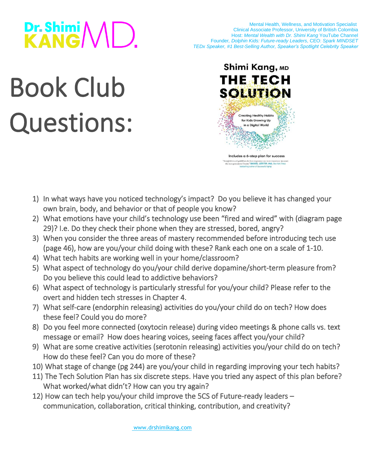## Dr. Shimi<br>KANG/VID.

 Mental Health, Wellness, and Motivation Specialist Clinical Associate Professor, University of British Colombia Host: *[Mental Wealth with Dr. Shimi Kang](https://www.youtube.com/channel/UCfqNKUKkxgM8M7Psn2f8fPA)* YouTube Channel Founder*, [Dolphin Kids: Future-ready Leaders](https://www.dolphinkids.ca/)*, CEO: *[Spark MINDSET](https://www.dolphinkids.io/) [TEDx Speaker,](https://www.youtube.com/watch?v=1EHZAQmw2JA&t=2s) [#1 Best-Selling Author,](https://www.drshimikang.com/) [Speaker's Spotlight Celebrity Speaker](https://www.speakers.ca/speakers/dr-shimi-kang/)*

## Book Club Questions:



- 1) In what ways have you noticed technology's impact? Do you believe it has changed your own brain, body, and behavior or that of people you know?
- 2) What emotions have your child's technology use been "fired and wired" with (diagram page 29)? I.e. Do they check their phone when they are stressed, bored, angry?
- 3) When you consider the three areas of mastery recommended before introducing tech use (page 46), how are you/your child doing with these? Rank each one on a scale of 1-10.
- 4) What tech habits are working well in your home/classroom?
- 5) What aspect of technology do you/your child derive dopamine/short-term pleasure from? Do you believe this could lead to addictive behaviors?
- 6) What aspect of technology is particularly stressful for you/your child? Please refer to the overt and hidden tech stresses in Chapter 4.
- 7) What self-care (endorphin releasing) activities do you/your child do on tech? How does these feel? Could you do more?
- 8) Do you feel more connected (oxytocin release) during video meetings & phone calls vs. text message or email? How does hearing voices, seeing faces affect you/your child?
- 9) What are some creative activities (serotonin releasing) activities you/your child do on tech? How do these feel? Can you do more of these?
- 10) What stage of change (pg 244) are you/your child in regarding improving your tech habits?
- 11) The Tech Solution Plan has six discrete steps. Have you tried any aspect of this plan before? What worked/what didn't? How can you try again?
- 12) How can tech help you/your child improve the 5CS of Future-ready leaders communication, collaboration, critical thinking, contribution, and creativity?